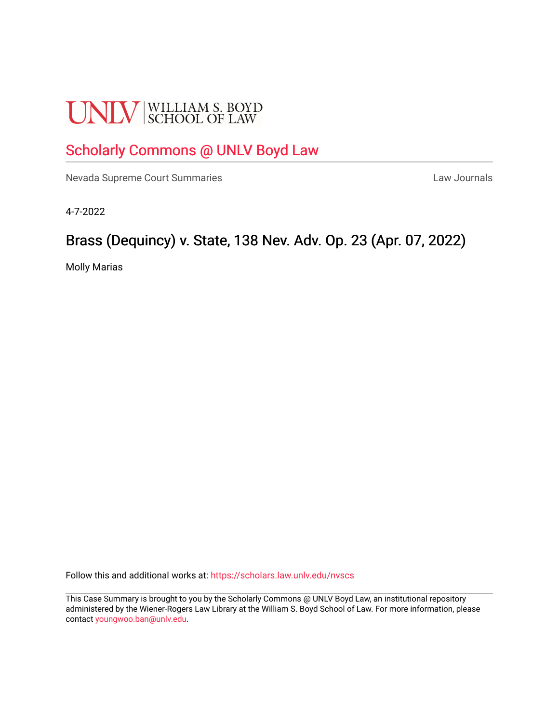# **UNLV** SCHOOL OF LAW

## [Scholarly Commons @ UNLV Boyd Law](https://scholars.law.unlv.edu/)

[Nevada Supreme Court Summaries](https://scholars.law.unlv.edu/nvscs) **Law Journals** Law Journals

4-7-2022

## Brass (Dequincy) v. State, 138 Nev. Adv. Op. 23 (Apr. 07, 2022)

Molly Marias

Follow this and additional works at: [https://scholars.law.unlv.edu/nvscs](https://scholars.law.unlv.edu/nvscs?utm_source=scholars.law.unlv.edu%2Fnvscs%2F1475&utm_medium=PDF&utm_campaign=PDFCoverPages)

This Case Summary is brought to you by the Scholarly Commons @ UNLV Boyd Law, an institutional repository administered by the Wiener-Rogers Law Library at the William S. Boyd School of Law. For more information, please contact [youngwoo.ban@unlv.edu](mailto:youngwoo.ban@unlv.edu).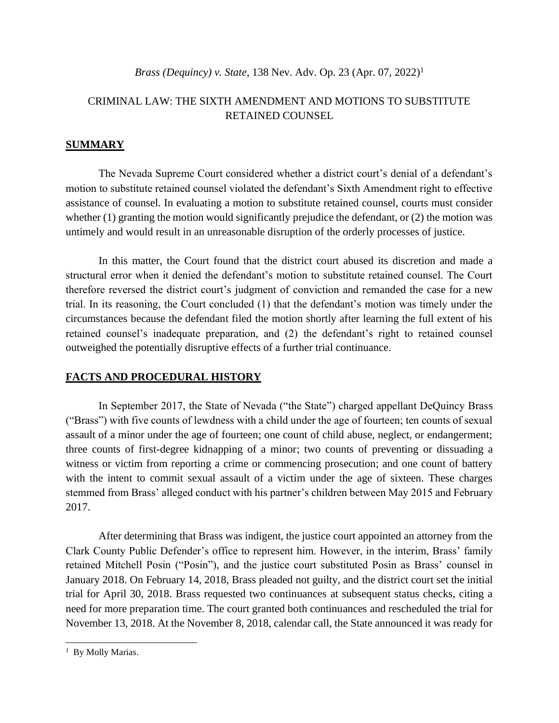*Brass (Dequincy) v. State, 138 Nev. Adv. Op. 23 (Apr. 07, 2022)<sup>1</sup>* 

### CRIMINAL LAW: THE SIXTH AMENDMENT AND MOTIONS TO SUBSTITUTE RETAINED COUNSEL

#### **SUMMARY**

The Nevada Supreme Court considered whether a district court's denial of a defendant's motion to substitute retained counsel violated the defendant's Sixth Amendment right to effective assistance of counsel. In evaluating a motion to substitute retained counsel, courts must consider whether  $(1)$  granting the motion would significantly prejudice the defendant, or  $(2)$  the motion was untimely and would result in an unreasonable disruption of the orderly processes of justice.

In this matter, the Court found that the district court abused its discretion and made a structural error when it denied the defendant's motion to substitute retained counsel. The Court therefore reversed the district court's judgment of conviction and remanded the case for a new trial. In its reasoning, the Court concluded (1) that the defendant's motion was timely under the circumstances because the defendant filed the motion shortly after learning the full extent of his retained counsel's inadequate preparation, and (2) the defendant's right to retained counsel outweighed the potentially disruptive effects of a further trial continuance.

#### **FACTS AND PROCEDURAL HISTORY**

In September 2017, the State of Nevada ("the State") charged appellant DeQuincy Brass ("Brass") with five counts of lewdness with a child under the age of fourteen; ten counts of sexual assault of a minor under the age of fourteen; one count of child abuse, neglect, or endangerment; three counts of first-degree kidnapping of a minor; two counts of preventing or dissuading a witness or victim from reporting a crime or commencing prosecution; and one count of battery with the intent to commit sexual assault of a victim under the age of sixteen. These charges stemmed from Brass' alleged conduct with his partner's children between May 2015 and February 2017.

After determining that Brass was indigent, the justice court appointed an attorney from the Clark County Public Defender's office to represent him. However, in the interim, Brass' family retained Mitchell Posin ("Posin"), and the justice court substituted Posin as Brass' counsel in January 2018. On February 14, 2018, Brass pleaded not guilty, and the district court set the initial trial for April 30, 2018. Brass requested two continuances at subsequent status checks, citing a need for more preparation time. The court granted both continuances and rescheduled the trial for November 13, 2018. At the November 8, 2018, calendar call, the State announced it was ready for

<sup>&</sup>lt;sup>1</sup> By Molly Marias.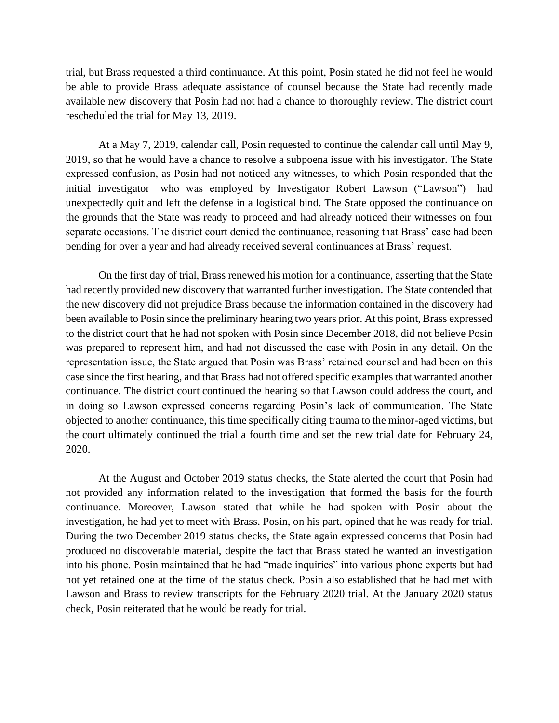trial, but Brass requested a third continuance. At this point, Posin stated he did not feel he would be able to provide Brass adequate assistance of counsel because the State had recently made available new discovery that Posin had not had a chance to thoroughly review. The district court rescheduled the trial for May 13, 2019.

At a May 7, 2019, calendar call, Posin requested to continue the calendar call until May 9, 2019, so that he would have a chance to resolve a subpoena issue with his investigator. The State expressed confusion, as Posin had not noticed any witnesses, to which Posin responded that the initial investigator—who was employed by Investigator Robert Lawson ("Lawson")—had unexpectedly quit and left the defense in a logistical bind. The State opposed the continuance on the grounds that the State was ready to proceed and had already noticed their witnesses on four separate occasions. The district court denied the continuance, reasoning that Brass' case had been pending for over a year and had already received several continuances at Brass' request.

On the first day of trial, Brass renewed his motion for a continuance, asserting that the State had recently provided new discovery that warranted further investigation. The State contended that the new discovery did not prejudice Brass because the information contained in the discovery had been available to Posin since the preliminary hearing two years prior. At this point, Brass expressed to the district court that he had not spoken with Posin since December 2018, did not believe Posin was prepared to represent him, and had not discussed the case with Posin in any detail. On the representation issue, the State argued that Posin was Brass' retained counsel and had been on this case since the first hearing, and that Brass had not offered specific examples that warranted another continuance. The district court continued the hearing so that Lawson could address the court, and in doing so Lawson expressed concerns regarding Posin's lack of communication. The State objected to another continuance, this time specifically citing trauma to the minor-aged victims, but the court ultimately continued the trial a fourth time and set the new trial date for February 24, 2020.

At the August and October 2019 status checks, the State alerted the court that Posin had not provided any information related to the investigation that formed the basis for the fourth continuance. Moreover, Lawson stated that while he had spoken with Posin about the investigation, he had yet to meet with Brass. Posin, on his part, opined that he was ready for trial. During the two December 2019 status checks, the State again expressed concerns that Posin had produced no discoverable material, despite the fact that Brass stated he wanted an investigation into his phone. Posin maintained that he had "made inquiries" into various phone experts but had not yet retained one at the time of the status check. Posin also established that he had met with Lawson and Brass to review transcripts for the February 2020 trial. At the January 2020 status check, Posin reiterated that he would be ready for trial.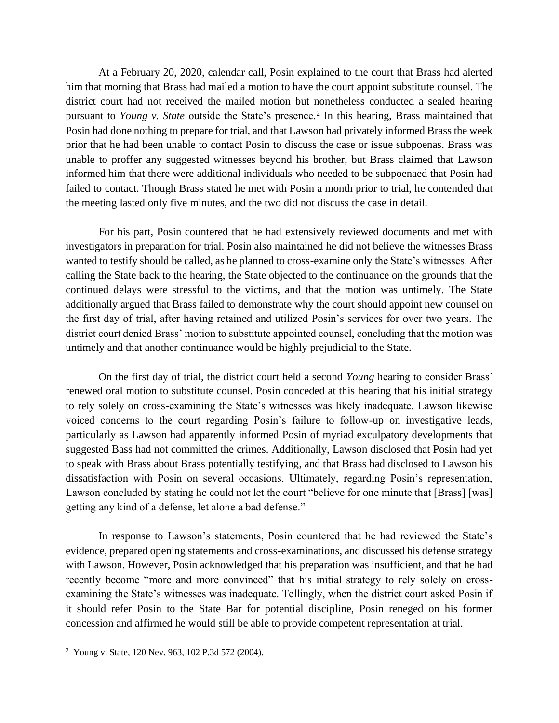At a February 20, 2020, calendar call, Posin explained to the court that Brass had alerted him that morning that Brass had mailed a motion to have the court appoint substitute counsel. The district court had not received the mailed motion but nonetheless conducted a sealed hearing pursuant to *Young v. State* outside the State's presence.<sup>2</sup> In this hearing, Brass maintained that Posin had done nothing to prepare for trial, and that Lawson had privately informed Brass the week prior that he had been unable to contact Posin to discuss the case or issue subpoenas. Brass was unable to proffer any suggested witnesses beyond his brother, but Brass claimed that Lawson informed him that there were additional individuals who needed to be subpoenaed that Posin had failed to contact. Though Brass stated he met with Posin a month prior to trial, he contended that the meeting lasted only five minutes, and the two did not discuss the case in detail.

For his part, Posin countered that he had extensively reviewed documents and met with investigators in preparation for trial. Posin also maintained he did not believe the witnesses Brass wanted to testify should be called, as he planned to cross-examine only the State's witnesses. After calling the State back to the hearing, the State objected to the continuance on the grounds that the continued delays were stressful to the victims, and that the motion was untimely. The State additionally argued that Brass failed to demonstrate why the court should appoint new counsel on the first day of trial, after having retained and utilized Posin's services for over two years. The district court denied Brass' motion to substitute appointed counsel, concluding that the motion was untimely and that another continuance would be highly prejudicial to the State.

On the first day of trial, the district court held a second *Young* hearing to consider Brass' renewed oral motion to substitute counsel. Posin conceded at this hearing that his initial strategy to rely solely on cross-examining the State's witnesses was likely inadequate. Lawson likewise voiced concerns to the court regarding Posin's failure to follow-up on investigative leads, particularly as Lawson had apparently informed Posin of myriad exculpatory developments that suggested Bass had not committed the crimes. Additionally, Lawson disclosed that Posin had yet to speak with Brass about Brass potentially testifying, and that Brass had disclosed to Lawson his dissatisfaction with Posin on several occasions. Ultimately, regarding Posin's representation, Lawson concluded by stating he could not let the court "believe for one minute that [Brass] [was] getting any kind of a defense, let alone a bad defense."

In response to Lawson's statements, Posin countered that he had reviewed the State's evidence, prepared opening statements and cross-examinations, and discussed his defense strategy with Lawson. However, Posin acknowledged that his preparation was insufficient, and that he had recently become "more and more convinced" that his initial strategy to rely solely on crossexamining the State's witnesses was inadequate. Tellingly, when the district court asked Posin if it should refer Posin to the State Bar for potential discipline, Posin reneged on his former concession and affirmed he would still be able to provide competent representation at trial.

<sup>&</sup>lt;sup>2</sup> Young v. State, 120 Nev. 963, 102 P.3d 572 (2004).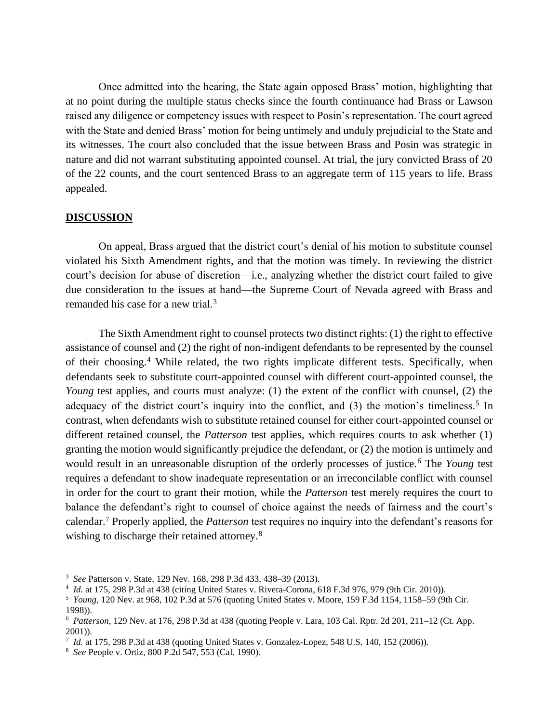Once admitted into the hearing, the State again opposed Brass' motion, highlighting that at no point during the multiple status checks since the fourth continuance had Brass or Lawson raised any diligence or competency issues with respect to Posin's representation. The court agreed with the State and denied Brass' motion for being untimely and unduly prejudicial to the State and its witnesses. The court also concluded that the issue between Brass and Posin was strategic in nature and did not warrant substituting appointed counsel. At trial, the jury convicted Brass of 20 of the 22 counts, and the court sentenced Brass to an aggregate term of 115 years to life. Brass appealed.

#### **DISCUSSION**

On appeal, Brass argued that the district court's denial of his motion to substitute counsel violated his Sixth Amendment rights, and that the motion was timely. In reviewing the district court's decision for abuse of discretion—i.e., analyzing whether the district court failed to give due consideration to the issues at hand—the Supreme Court of Nevada agreed with Brass and remanded his case for a new trial.<sup>3</sup>

The Sixth Amendment right to counsel protects two distinct rights: (1) the right to effective assistance of counsel and (2) the right of non-indigent defendants to be represented by the counsel of their choosing.<sup>4</sup> While related, the two rights implicate different tests. Specifically, when defendants seek to substitute court-appointed counsel with different court-appointed counsel, the *Young* test applies, and courts must analyze: (1) the extent of the conflict with counsel, (2) the adequacy of the district court's inquiry into the conflict, and (3) the motion's timeliness.<sup>5</sup> In contrast, when defendants wish to substitute retained counsel for either court-appointed counsel or different retained counsel, the *Patterson* test applies, which requires courts to ask whether (1) granting the motion would significantly prejudice the defendant, or (2) the motion is untimely and would result in an unreasonable disruption of the orderly processes of justice.<sup>6</sup> The *Young* test requires a defendant to show inadequate representation or an irreconcilable conflict with counsel in order for the court to grant their motion, while the *Patterson* test merely requires the court to balance the defendant's right to counsel of choice against the needs of fairness and the court's calendar.<sup>7</sup> Properly applied, the *Patterson* test requires no inquiry into the defendant's reasons for wishing to discharge their retained attorney.<sup>8</sup>

<sup>3</sup> *See* Patterson v. State, 129 Nev. 168, 298 P.3d 433, 438–39 (2013).

<sup>4</sup> *Id.* at 175, 298 P.3d at 438 (citing United States v. Rivera-Corona, 618 F.3d 976, 979 (9th Cir. 2010)).

<sup>5</sup> *Young*, 120 Nev. at 968, 102 P.3d at 576 (quoting United States v. Moore, 159 F.3d 1154, 1158–59 (9th Cir. 1998)).

<sup>6</sup> *Patterson*, 129 Nev. at 176, 298 P.3d at 438 (quoting People v. Lara, 103 Cal. Rptr. 2d 201, 211–12 (Ct. App. 2001)).

<sup>7</sup> *Id.* at 175, 298 P.3d at 438 (quoting United States v. Gonzalez-Lopez, 548 U.S. 140, 152 (2006)).

<sup>8</sup> *See* People v. Ortiz, 800 P.2d 547, 553 (Cal. 1990).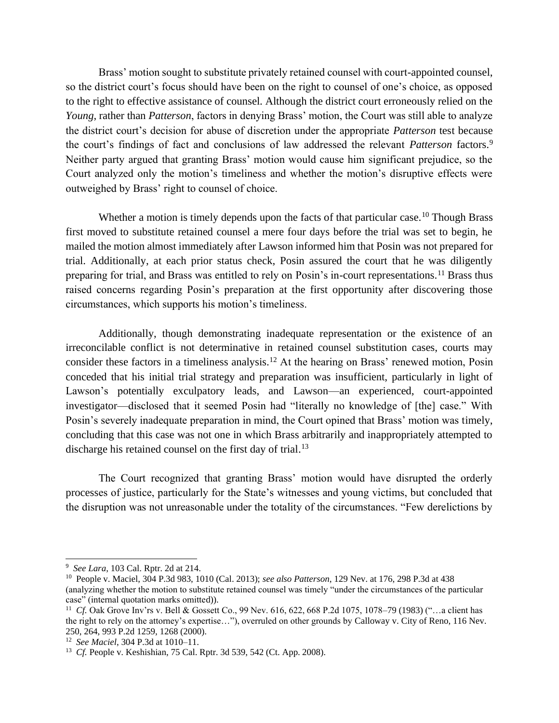Brass' motion sought to substitute privately retained counsel with court-appointed counsel, so the district court's focus should have been on the right to counsel of one's choice, as opposed to the right to effective assistance of counsel. Although the district court erroneously relied on the *Young*, rather than *Patterson*, factors in denying Brass' motion, the Court was still able to analyze the district court's decision for abuse of discretion under the appropriate *Patterson* test because the court's findings of fact and conclusions of law addressed the relevant *Patterson* factors.<sup>9</sup> Neither party argued that granting Brass' motion would cause him significant prejudice, so the Court analyzed only the motion's timeliness and whether the motion's disruptive effects were outweighed by Brass' right to counsel of choice.

Whether a motion is timely depends upon the facts of that particular case.<sup>10</sup> Though Brass first moved to substitute retained counsel a mere four days before the trial was set to begin, he mailed the motion almost immediately after Lawson informed him that Posin was not prepared for trial. Additionally, at each prior status check, Posin assured the court that he was diligently preparing for trial, and Brass was entitled to rely on Posin's in-court representations.<sup>11</sup> Brass thus raised concerns regarding Posin's preparation at the first opportunity after discovering those circumstances, which supports his motion's timeliness.

Additionally, though demonstrating inadequate representation or the existence of an irreconcilable conflict is not determinative in retained counsel substitution cases, courts may consider these factors in a timeliness analysis.<sup>12</sup> At the hearing on Brass' renewed motion, Posin conceded that his initial trial strategy and preparation was insufficient, particularly in light of Lawson's potentially exculpatory leads, and Lawson—an experienced, court-appointed investigator—disclosed that it seemed Posin had "literally no knowledge of [the] case." With Posin's severely inadequate preparation in mind, the Court opined that Brass' motion was timely, concluding that this case was not one in which Brass arbitrarily and inappropriately attempted to discharge his retained counsel on the first day of trial.<sup>13</sup>

The Court recognized that granting Brass' motion would have disrupted the orderly processes of justice, particularly for the State's witnesses and young victims, but concluded that the disruption was not unreasonable under the totality of the circumstances. "Few derelictions by

<sup>9</sup> *See Lara*, 103 Cal. Rptr. 2d at 214.

<sup>10</sup> People v. Maciel, 304 P.3d 983, 1010 (Cal. 2013); *see also Patterson*, 129 Nev. at 176, 298 P.3d at 438 (analyzing whether the motion to substitute retained counsel was timely "under the circumstances of the particular case" (internal quotation marks omitted)).

<sup>&</sup>lt;sup>11</sup> Cf. Oak Grove Inv'rs v. Bell & Gossett Co., 99 Nev. 616, 622, 668 P.2d 1075, 1078–79 (1983) ("...a client has the right to rely on the attorney's expertise…"), overruled on other grounds by Calloway v. City of Reno, 116 Nev. 250, 264, 993 P.2d 1259, 1268 (2000).

<sup>12</sup> *See Maciel*, 304 P.3d at 1010–11.

<sup>&</sup>lt;sup>13</sup> *Cf.* People v. Keshishian, 75 Cal. Rptr. 3d 539, 542 (Ct. App. 2008).